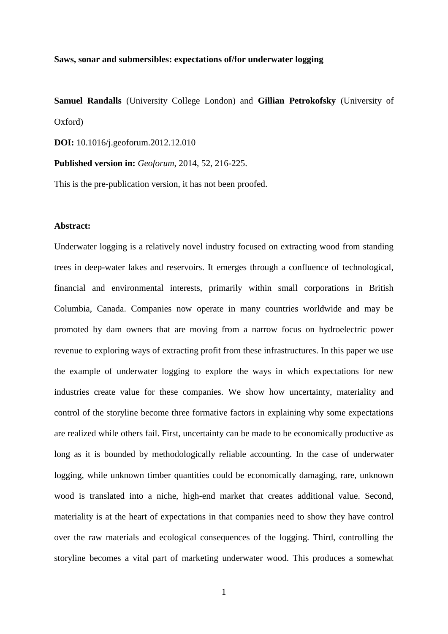### **Saws, sonar and submersibles: expectations of/for underwater logging**

**Samuel Randalls** (University College London) and **Gillian Petrokofsky** (University of Oxford)

**DOI:** 10.1016/j.geoforum.2012.12.010

**Published version in:** *Geoforum*, 2014, 52, 216-225.

This is the pre-publication version, it has not been proofed.

### **Abstract:**

Underwater logging is a relatively novel industry focused on extracting wood from standing trees in deep-water lakes and reservoirs. It emerges through a confluence of technological, financial and environmental interests, primarily within small corporations in British Columbia, Canada. Companies now operate in many countries worldwide and may be promoted by dam owners that are moving from a narrow focus on hydroelectric power revenue to exploring ways of extracting profit from these infrastructures. In this paper we use the example of underwater logging to explore the ways in which expectations for new industries create value for these companies. We show how uncertainty, materiality and control of the storyline become three formative factors in explaining why some expectations are realized while others fail. First, uncertainty can be made to be economically productive as long as it is bounded by methodologically reliable accounting. In the case of underwater logging, while unknown timber quantities could be economically damaging, rare, unknown wood is translated into a niche, high-end market that creates additional value. Second, materiality is at the heart of expectations in that companies need to show they have control over the raw materials and ecological consequences of the logging. Third, controlling the storyline becomes a vital part of marketing underwater wood. This produces a somewhat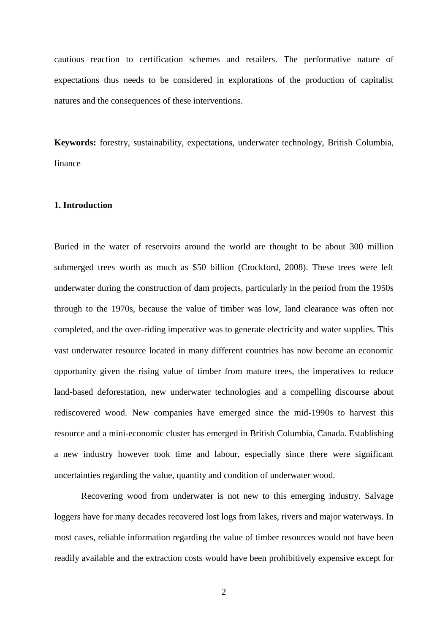cautious reaction to certification schemes and retailers. The performative nature of expectations thus needs to be considered in explorations of the production of capitalist natures and the consequences of these interventions.

**Keywords:** forestry, sustainability, expectations, underwater technology, British Columbia, finance

## **1. Introduction**

Buried in the water of reservoirs around the world are thought to be about 300 million submerged trees worth as much as \$50 billion (Crockford, 2008). These trees were left underwater during the construction of dam projects, particularly in the period from the 1950s through to the 1970s, because the value of timber was low, land clearance was often not completed, and the over-riding imperative was to generate electricity and water supplies. This vast underwater resource located in many different countries has now become an economic opportunity given the rising value of timber from mature trees, the imperatives to reduce land-based deforestation, new underwater technologies and a compelling discourse about rediscovered wood. New companies have emerged since the mid-1990s to harvest this resource and a mini-economic cluster has emerged in British Columbia, Canada. Establishing a new industry however took time and labour, especially since there were significant uncertainties regarding the value, quantity and condition of underwater wood.

Recovering wood from underwater is not new to this emerging industry. Salvage loggers have for many decades recovered lost logs from lakes, rivers and major waterways. In most cases, reliable information regarding the value of timber resources would not have been readily available and the extraction costs would have been prohibitively expensive except for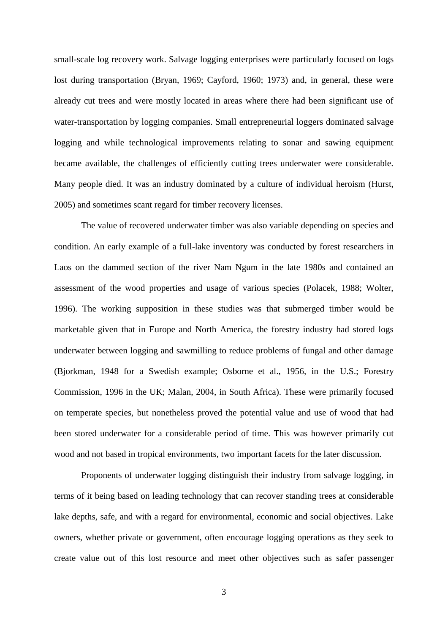small-scale log recovery work. Salvage logging enterprises were particularly focused on logs lost during transportation (Bryan, 1969; Cayford, 1960; 1973) and, in general, these were already cut trees and were mostly located in areas where there had been significant use of water-transportation by logging companies. Small entrepreneurial loggers dominated salvage logging and while technological improvements relating to sonar and sawing equipment became available, the challenges of efficiently cutting trees underwater were considerable. Many people died. It was an industry dominated by a culture of individual heroism (Hurst, 2005) and sometimes scant regard for timber recovery licenses.

The value of recovered underwater timber was also variable depending on species and condition. An early example of a full-lake inventory was conducted by forest researchers in Laos on the dammed section of the river Nam Ngum in the late 1980s and contained an assessment of the wood properties and usage of various species (Polacek, 1988; Wolter, 1996). The working supposition in these studies was that submerged timber would be marketable given that in Europe and North America, the forestry industry had stored logs underwater between logging and sawmilling to reduce problems of fungal and other damage (Bjorkman, 1948 for a Swedish example; Osborne et al., 1956, in the U.S.; Forestry Commission, 1996 in the UK; Malan, 2004, in South Africa). These were primarily focused on temperate species, but nonetheless proved the potential value and use of wood that had been stored underwater for a considerable period of time. This was however primarily cut wood and not based in tropical environments, two important facets for the later discussion.

Proponents of underwater logging distinguish their industry from salvage logging, in terms of it being based on leading technology that can recover standing trees at considerable lake depths, safe, and with a regard for environmental, economic and social objectives. Lake owners, whether private or government, often encourage logging operations as they seek to create value out of this lost resource and meet other objectives such as safer passenger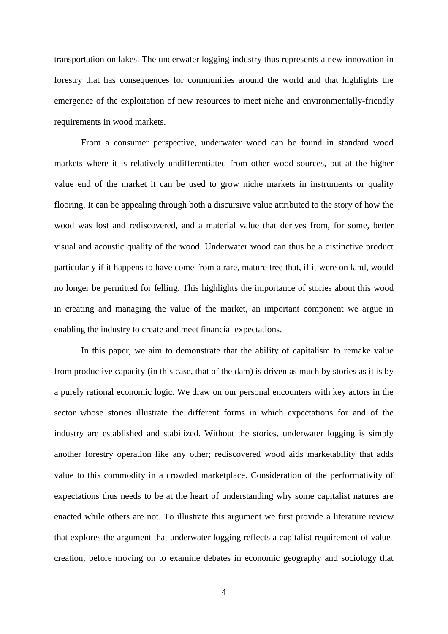transportation on lakes. The underwater logging industry thus represents a new innovation in forestry that has consequences for communities around the world and that highlights the emergence of the exploitation of new resources to meet niche and environmentally-friendly requirements in wood markets.

From a consumer perspective, underwater wood can be found in standard wood markets where it is relatively undifferentiated from other wood sources, but at the higher value end of the market it can be used to grow niche markets in instruments or quality flooring. It can be appealing through both a discursive value attributed to the story of how the wood was lost and rediscovered, and a material value that derives from, for some, better visual and acoustic quality of the wood. Underwater wood can thus be a distinctive product particularly if it happens to have come from a rare, mature tree that, if it were on land, would no longer be permitted for felling. This highlights the importance of stories about this wood in creating and managing the value of the market, an important component we argue in enabling the industry to create and meet financial expectations.

In this paper, we aim to demonstrate that the ability of capitalism to remake value from productive capacity (in this case, that of the dam) is driven as much by stories as it is by a purely rational economic logic. We draw on our personal encounters with key actors in the sector whose stories illustrate the different forms in which expectations for and of the industry are established and stabilized. Without the stories, underwater logging is simply another forestry operation like any other; rediscovered wood aids marketability that adds value to this commodity in a crowded marketplace. Consideration of the performativity of expectations thus needs to be at the heart of understanding why some capitalist natures are enacted while others are not. To illustrate this argument we first provide a literature review that explores the argument that underwater logging reflects a capitalist requirement of valuecreation, before moving on to examine debates in economic geography and sociology that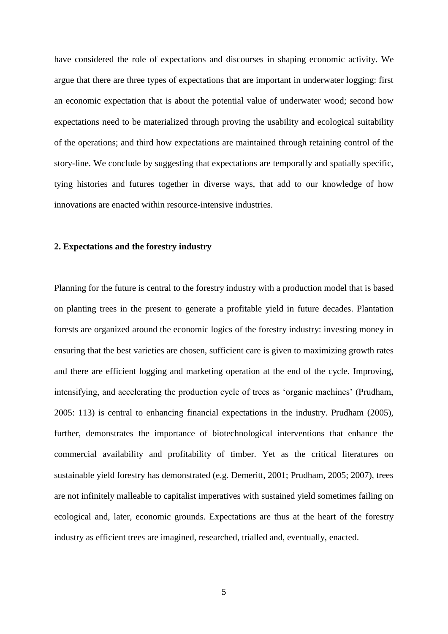have considered the role of expectations and discourses in shaping economic activity. We argue that there are three types of expectations that are important in underwater logging: first an economic expectation that is about the potential value of underwater wood; second how expectations need to be materialized through proving the usability and ecological suitability of the operations; and third how expectations are maintained through retaining control of the story-line. We conclude by suggesting that expectations are temporally and spatially specific, tying histories and futures together in diverse ways, that add to our knowledge of how innovations are enacted within resource-intensive industries.

### **2. Expectations and the forestry industry**

Planning for the future is central to the forestry industry with a production model that is based on planting trees in the present to generate a profitable yield in future decades. Plantation forests are organized around the economic logics of the forestry industry: investing money in ensuring that the best varieties are chosen, sufficient care is given to maximizing growth rates and there are efficient logging and marketing operation at the end of the cycle. Improving, intensifying, and accelerating the production cycle of trees as 'organic machines' (Prudham, 2005: 113) is central to enhancing financial expectations in the industry. Prudham (2005), further, demonstrates the importance of biotechnological interventions that enhance the commercial availability and profitability of timber. Yet as the critical literatures on sustainable yield forestry has demonstrated (e.g. Demeritt, 2001; Prudham, 2005; 2007), trees are not infinitely malleable to capitalist imperatives with sustained yield sometimes failing on ecological and, later, economic grounds. Expectations are thus at the heart of the forestry industry as efficient trees are imagined, researched, trialled and, eventually, enacted.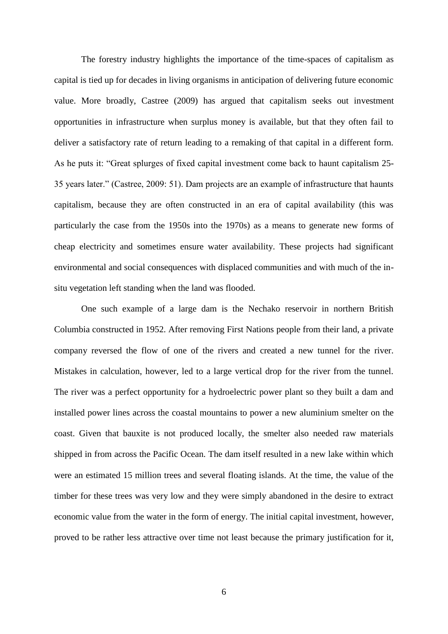The forestry industry highlights the importance of the time-spaces of capitalism as capital is tied up for decades in living organisms in anticipation of delivering future economic value. More broadly, Castree (2009) has argued that capitalism seeks out investment opportunities in infrastructure when surplus money is available, but that they often fail to deliver a satisfactory rate of return leading to a remaking of that capital in a different form. As he puts it: "Great splurges of fixed capital investment come back to haunt capitalism 25- 35 years later." (Castree, 2009: 51). Dam projects are an example of infrastructure that haunts capitalism, because they are often constructed in an era of capital availability (this was particularly the case from the 1950s into the 1970s) as a means to generate new forms of cheap electricity and sometimes ensure water availability. These projects had significant environmental and social consequences with displaced communities and with much of the insitu vegetation left standing when the land was flooded.

One such example of a large dam is the Nechako reservoir in northern British Columbia constructed in 1952. After removing First Nations people from their land, a private company reversed the flow of one of the rivers and created a new tunnel for the river. Mistakes in calculation, however, led to a large vertical drop for the river from the tunnel. The river was a perfect opportunity for a hydroelectric power plant so they built a dam and installed power lines across the coastal mountains to power a new aluminium smelter on the coast. Given that bauxite is not produced locally, the smelter also needed raw materials shipped in from across the Pacific Ocean. The dam itself resulted in a new lake within which were an estimated 15 million trees and several floating islands. At the time, the value of the timber for these trees was very low and they were simply abandoned in the desire to extract economic value from the water in the form of energy. The initial capital investment, however, proved to be rather less attractive over time not least because the primary justification for it,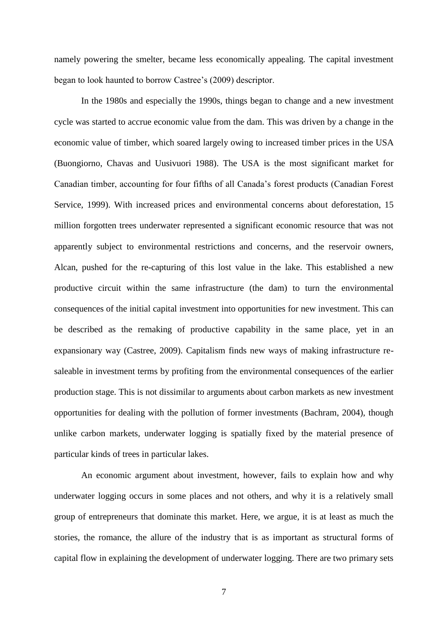namely powering the smelter, became less economically appealing. The capital investment began to look haunted to borrow Castree's (2009) descriptor.

In the 1980s and especially the 1990s, things began to change and a new investment cycle was started to accrue economic value from the dam. This was driven by a change in the economic value of timber, which soared largely owing to increased timber prices in the USA (Buongiorno, Chavas and Uusivuori 1988). The USA is the most significant market for Canadian timber, accounting for four fifths of all Canada's forest products (Canadian Forest Service, 1999). With increased prices and environmental concerns about deforestation, 15 million forgotten trees underwater represented a significant economic resource that was not apparently subject to environmental restrictions and concerns, and the reservoir owners, Alcan, pushed for the re-capturing of this lost value in the lake. This established a new productive circuit within the same infrastructure (the dam) to turn the environmental consequences of the initial capital investment into opportunities for new investment. This can be described as the remaking of productive capability in the same place, yet in an expansionary way (Castree, 2009). Capitalism finds new ways of making infrastructure resaleable in investment terms by profiting from the environmental consequences of the earlier production stage. This is not dissimilar to arguments about carbon markets as new investment opportunities for dealing with the pollution of former investments (Bachram, 2004), though unlike carbon markets, underwater logging is spatially fixed by the material presence of particular kinds of trees in particular lakes.

An economic argument about investment, however, fails to explain how and why underwater logging occurs in some places and not others, and why it is a relatively small group of entrepreneurs that dominate this market. Here, we argue, it is at least as much the stories, the romance, the allure of the industry that is as important as structural forms of capital flow in explaining the development of underwater logging. There are two primary sets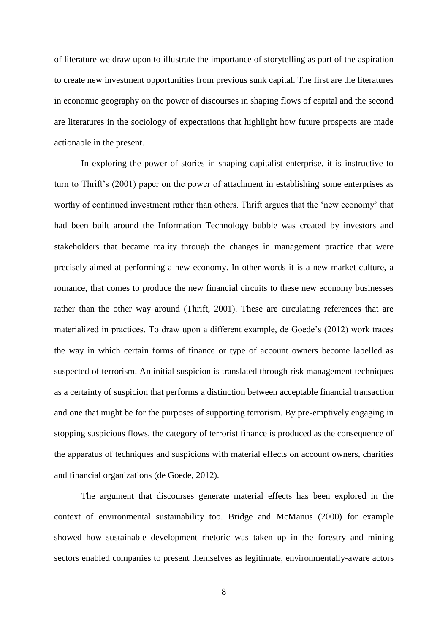of literature we draw upon to illustrate the importance of storytelling as part of the aspiration to create new investment opportunities from previous sunk capital. The first are the literatures in economic geography on the power of discourses in shaping flows of capital and the second are literatures in the sociology of expectations that highlight how future prospects are made actionable in the present.

In exploring the power of stories in shaping capitalist enterprise, it is instructive to turn to Thrift's (2001) paper on the power of attachment in establishing some enterprises as worthy of continued investment rather than others. Thrift argues that the 'new economy' that had been built around the Information Technology bubble was created by investors and stakeholders that became reality through the changes in management practice that were precisely aimed at performing a new economy. In other words it is a new market culture, a romance, that comes to produce the new financial circuits to these new economy businesses rather than the other way around (Thrift, 2001). These are circulating references that are materialized in practices. To draw upon a different example, de Goede's (2012) work traces the way in which certain forms of finance or type of account owners become labelled as suspected of terrorism. An initial suspicion is translated through risk management techniques as a certainty of suspicion that performs a distinction between acceptable financial transaction and one that might be for the purposes of supporting terrorism. By pre-emptively engaging in stopping suspicious flows, the category of terrorist finance is produced as the consequence of the apparatus of techniques and suspicions with material effects on account owners, charities and financial organizations (de Goede, 2012).

The argument that discourses generate material effects has been explored in the context of environmental sustainability too. Bridge and McManus (2000) for example showed how sustainable development rhetoric was taken up in the forestry and mining sectors enabled companies to present themselves as legitimate, environmentally-aware actors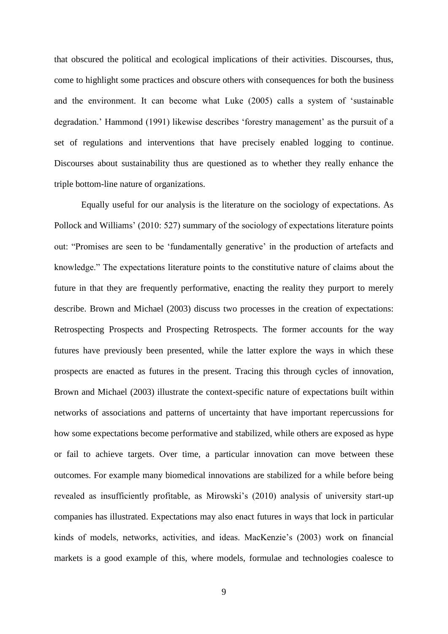that obscured the political and ecological implications of their activities. Discourses, thus, come to highlight some practices and obscure others with consequences for both the business and the environment. It can become what Luke (2005) calls a system of 'sustainable degradation.' Hammond (1991) likewise describes 'forestry management' as the pursuit of a set of regulations and interventions that have precisely enabled logging to continue. Discourses about sustainability thus are questioned as to whether they really enhance the triple bottom-line nature of organizations.

Equally useful for our analysis is the literature on the sociology of expectations. As Pollock and Williams' (2010: 527) summary of the sociology of expectations literature points out: "Promises are seen to be 'fundamentally generative' in the production of artefacts and knowledge." The expectations literature points to the constitutive nature of claims about the future in that they are frequently performative, enacting the reality they purport to merely describe. Brown and Michael (2003) discuss two processes in the creation of expectations: Retrospecting Prospects and Prospecting Retrospects. The former accounts for the way futures have previously been presented, while the latter explore the ways in which these prospects are enacted as futures in the present. Tracing this through cycles of innovation, Brown and Michael (2003) illustrate the context-specific nature of expectations built within networks of associations and patterns of uncertainty that have important repercussions for how some expectations become performative and stabilized, while others are exposed as hype or fail to achieve targets. Over time, a particular innovation can move between these outcomes. For example many biomedical innovations are stabilized for a while before being revealed as insufficiently profitable, as Mirowski's (2010) analysis of university start-up companies has illustrated. Expectations may also enact futures in ways that lock in particular kinds of models, networks, activities, and ideas. MacKenzie's (2003) work on financial markets is a good example of this, where models, formulae and technologies coalesce to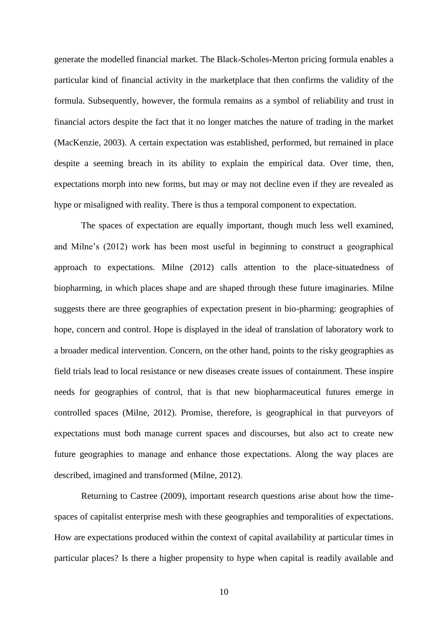generate the modelled financial market. The Black-Scholes-Merton pricing formula enables a particular kind of financial activity in the marketplace that then confirms the validity of the formula. Subsequently, however, the formula remains as a symbol of reliability and trust in financial actors despite the fact that it no longer matches the nature of trading in the market (MacKenzie, 2003). A certain expectation was established, performed, but remained in place despite a seeming breach in its ability to explain the empirical data. Over time, then, expectations morph into new forms, but may or may not decline even if they are revealed as hype or misaligned with reality. There is thus a temporal component to expectation.

The spaces of expectation are equally important, though much less well examined, and Milne's (2012) work has been most useful in beginning to construct a geographical approach to expectations. Milne (2012) calls attention to the place-situatedness of biopharming, in which places shape and are shaped through these future imaginaries. Milne suggests there are three geographies of expectation present in bio-pharming: geographies of hope, concern and control. Hope is displayed in the ideal of translation of laboratory work to a broader medical intervention. Concern, on the other hand, points to the risky geographies as field trials lead to local resistance or new diseases create issues of containment. These inspire needs for geographies of control, that is that new biopharmaceutical futures emerge in controlled spaces (Milne, 2012). Promise, therefore, is geographical in that purveyors of expectations must both manage current spaces and discourses, but also act to create new future geographies to manage and enhance those expectations. Along the way places are described, imagined and transformed (Milne, 2012).

Returning to Castree (2009), important research questions arise about how the timespaces of capitalist enterprise mesh with these geographies and temporalities of expectations. How are expectations produced within the context of capital availability at particular times in particular places? Is there a higher propensity to hype when capital is readily available and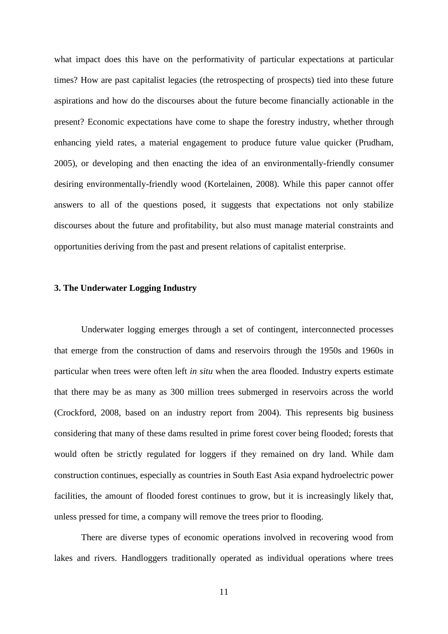what impact does this have on the performativity of particular expectations at particular times? How are past capitalist legacies (the retrospecting of prospects) tied into these future aspirations and how do the discourses about the future become financially actionable in the present? Economic expectations have come to shape the forestry industry, whether through enhancing yield rates, a material engagement to produce future value quicker (Prudham, 2005), or developing and then enacting the idea of an environmentally-friendly consumer desiring environmentally-friendly wood (Kortelainen, 2008). While this paper cannot offer answers to all of the questions posed, it suggests that expectations not only stabilize discourses about the future and profitability, but also must manage material constraints and opportunities deriving from the past and present relations of capitalist enterprise.

## **3. The Underwater Logging Industry**

Underwater logging emerges through a set of contingent, interconnected processes that emerge from the construction of dams and reservoirs through the 1950s and 1960s in particular when trees were often left *in situ* when the area flooded. Industry experts estimate that there may be as many as 300 million trees submerged in reservoirs across the world (Crockford, 2008, based on an industry report from 2004). This represents big business considering that many of these dams resulted in prime forest cover being flooded; forests that would often be strictly regulated for loggers if they remained on dry land. While dam construction continues, especially as countries in South East Asia expand hydroelectric power facilities, the amount of flooded forest continues to grow, but it is increasingly likely that, unless pressed for time, a company will remove the trees prior to flooding.

There are diverse types of economic operations involved in recovering wood from lakes and rivers. Handloggers traditionally operated as individual operations where trees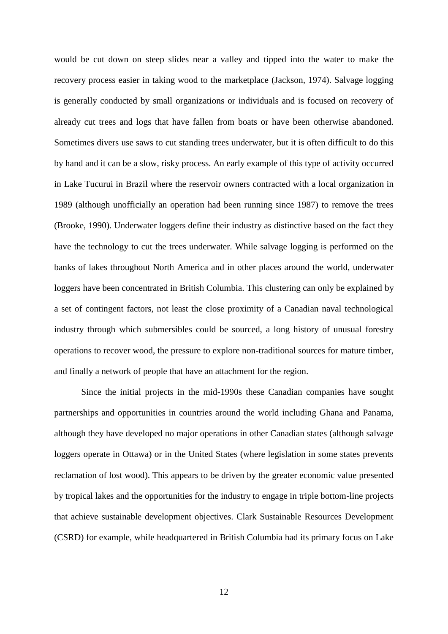would be cut down on steep slides near a valley and tipped into the water to make the recovery process easier in taking wood to the marketplace (Jackson, 1974). Salvage logging is generally conducted by small organizations or individuals and is focused on recovery of already cut trees and logs that have fallen from boats or have been otherwise abandoned. Sometimes divers use saws to cut standing trees underwater, but it is often difficult to do this by hand and it can be a slow, risky process. An early example of this type of activity occurred in Lake Tucurui in Brazil where the reservoir owners contracted with a local organization in 1989 (although unofficially an operation had been running since 1987) to remove the trees (Brooke, 1990). Underwater loggers define their industry as distinctive based on the fact they have the technology to cut the trees underwater. While salvage logging is performed on the banks of lakes throughout North America and in other places around the world, underwater loggers have been concentrated in British Columbia. This clustering can only be explained by a set of contingent factors, not least the close proximity of a Canadian naval technological industry through which submersibles could be sourced, a long history of unusual forestry operations to recover wood, the pressure to explore non-traditional sources for mature timber, and finally a network of people that have an attachment for the region.

Since the initial projects in the mid-1990s these Canadian companies have sought partnerships and opportunities in countries around the world including Ghana and Panama, although they have developed no major operations in other Canadian states (although salvage loggers operate in Ottawa) or in the United States (where legislation in some states prevents reclamation of lost wood). This appears to be driven by the greater economic value presented by tropical lakes and the opportunities for the industry to engage in triple bottom-line projects that achieve sustainable development objectives. Clark Sustainable Resources Development (CSRD) for example, while headquartered in British Columbia had its primary focus on Lake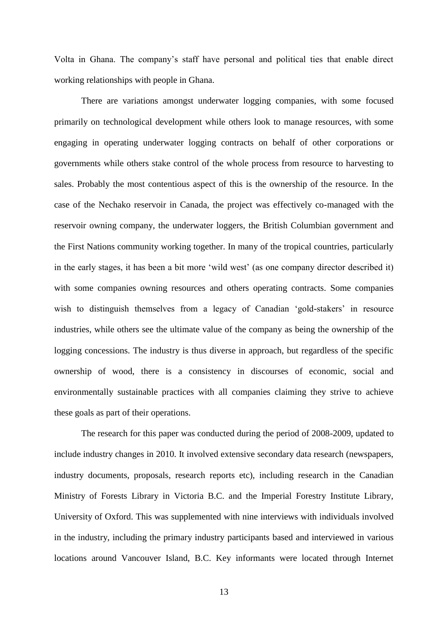Volta in Ghana. The company's staff have personal and political ties that enable direct working relationships with people in Ghana.

There are variations amongst underwater logging companies, with some focused primarily on technological development while others look to manage resources, with some engaging in operating underwater logging contracts on behalf of other corporations or governments while others stake control of the whole process from resource to harvesting to sales. Probably the most contentious aspect of this is the ownership of the resource. In the case of the Nechako reservoir in Canada, the project was effectively co-managed with the reservoir owning company, the underwater loggers, the British Columbian government and the First Nations community working together. In many of the tropical countries, particularly in the early stages, it has been a bit more 'wild west' (as one company director described it) with some companies owning resources and others operating contracts. Some companies wish to distinguish themselves from a legacy of Canadian 'gold-stakers' in resource industries, while others see the ultimate value of the company as being the ownership of the logging concessions. The industry is thus diverse in approach, but regardless of the specific ownership of wood, there is a consistency in discourses of economic, social and environmentally sustainable practices with all companies claiming they strive to achieve these goals as part of their operations.

The research for this paper was conducted during the period of 2008-2009, updated to include industry changes in 2010. It involved extensive secondary data research (newspapers, industry documents, proposals, research reports etc), including research in the Canadian Ministry of Forests Library in Victoria B.C. and the Imperial Forestry Institute Library, University of Oxford. This was supplemented with nine interviews with individuals involved in the industry, including the primary industry participants based and interviewed in various locations around Vancouver Island, B.C. Key informants were located through Internet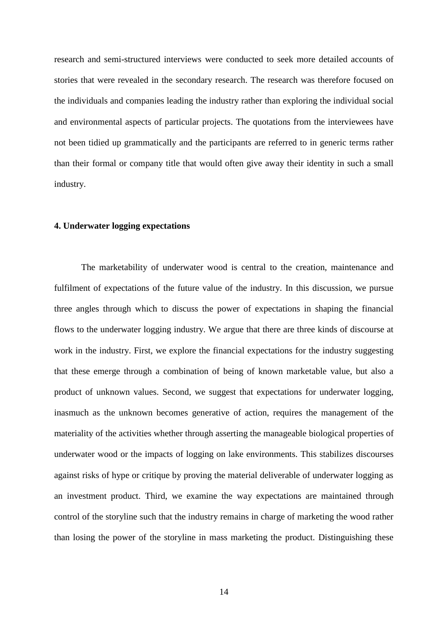research and semi-structured interviews were conducted to seek more detailed accounts of stories that were revealed in the secondary research. The research was therefore focused on the individuals and companies leading the industry rather than exploring the individual social and environmental aspects of particular projects. The quotations from the interviewees have not been tidied up grammatically and the participants are referred to in generic terms rather than their formal or company title that would often give away their identity in such a small industry.

### **4. Underwater logging expectations**

The marketability of underwater wood is central to the creation, maintenance and fulfilment of expectations of the future value of the industry. In this discussion, we pursue three angles through which to discuss the power of expectations in shaping the financial flows to the underwater logging industry. We argue that there are three kinds of discourse at work in the industry. First, we explore the financial expectations for the industry suggesting that these emerge through a combination of being of known marketable value, but also a product of unknown values. Second, we suggest that expectations for underwater logging, inasmuch as the unknown becomes generative of action, requires the management of the materiality of the activities whether through asserting the manageable biological properties of underwater wood or the impacts of logging on lake environments. This stabilizes discourses against risks of hype or critique by proving the material deliverable of underwater logging as an investment product. Third, we examine the way expectations are maintained through control of the storyline such that the industry remains in charge of marketing the wood rather than losing the power of the storyline in mass marketing the product. Distinguishing these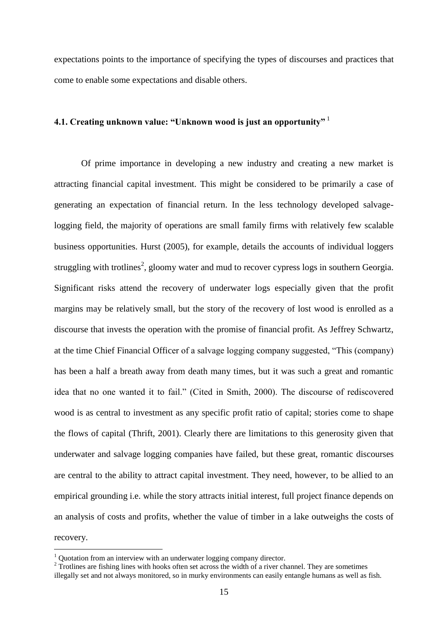expectations points to the importance of specifying the types of discourses and practices that come to enable some expectations and disable others.

# **4.1. Creating unknown value: "Unknown wood is just an opportunity"** <sup>1</sup>

Of prime importance in developing a new industry and creating a new market is attracting financial capital investment. This might be considered to be primarily a case of generating an expectation of financial return. In the less technology developed salvagelogging field, the majority of operations are small family firms with relatively few scalable business opportunities. Hurst (2005), for example, details the accounts of individual loggers struggling with trotlines<sup>2</sup>, gloomy water and mud to recover cypress logs in southern Georgia. Significant risks attend the recovery of underwater logs especially given that the profit margins may be relatively small, but the story of the recovery of lost wood is enrolled as a discourse that invests the operation with the promise of financial profit. As Jeffrey Schwartz, at the time Chief Financial Officer of a salvage logging company suggested, "This (company) has been a half a breath away from death many times, but it was such a great and romantic idea that no one wanted it to fail." (Cited in Smith, 2000). The discourse of rediscovered wood is as central to investment as any specific profit ratio of capital; stories come to shape the flows of capital (Thrift, 2001). Clearly there are limitations to this generosity given that underwater and salvage logging companies have failed, but these great, romantic discourses are central to the ability to attract capital investment. They need, however, to be allied to an empirical grounding i.e. while the story attracts initial interest, full project finance depends on an analysis of costs and profits, whether the value of timber in a lake outweighs the costs of recovery.

<u>.</u>

 $1$  Quotation from an interview with an underwater logging company director.

<sup>&</sup>lt;sup>2</sup> Trotlines are fishing lines with hooks often set across the width of a river channel. They are sometimes illegally set and not always monitored, so in murky environments can easily entangle humans as well as fish.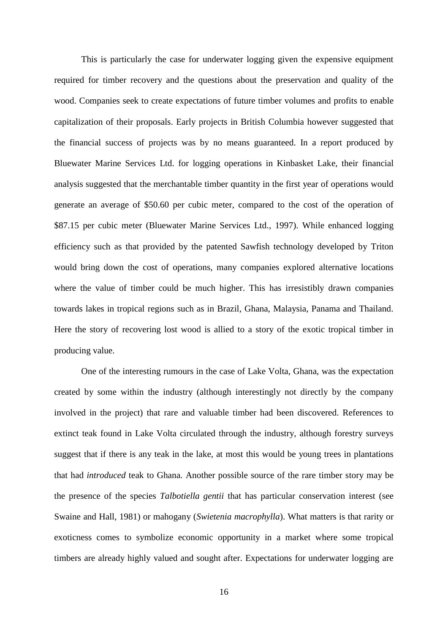This is particularly the case for underwater logging given the expensive equipment required for timber recovery and the questions about the preservation and quality of the wood. Companies seek to create expectations of future timber volumes and profits to enable capitalization of their proposals. Early projects in British Columbia however suggested that the financial success of projects was by no means guaranteed. In a report produced by Bluewater Marine Services Ltd. for logging operations in Kinbasket Lake, their financial analysis suggested that the merchantable timber quantity in the first year of operations would generate an average of \$50.60 per cubic meter, compared to the cost of the operation of \$87.15 per cubic meter (Bluewater Marine Services Ltd., 1997). While enhanced logging efficiency such as that provided by the patented Sawfish technology developed by Triton would bring down the cost of operations, many companies explored alternative locations where the value of timber could be much higher. This has irresistibly drawn companies towards lakes in tropical regions such as in Brazil, Ghana, Malaysia, Panama and Thailand. Here the story of recovering lost wood is allied to a story of the exotic tropical timber in producing value.

One of the interesting rumours in the case of Lake Volta, Ghana, was the expectation created by some within the industry (although interestingly not directly by the company involved in the project) that rare and valuable timber had been discovered. References to extinct teak found in Lake Volta circulated through the industry, although forestry surveys suggest that if there is any teak in the lake, at most this would be young trees in plantations that had *introduced* teak to Ghana. Another possible source of the rare timber story may be the presence of the species *Talbotiella gentii* that has particular conservation interest (see Swaine and Hall, 1981) or mahogany (*Swietenia macrophylla*). What matters is that rarity or exoticness comes to symbolize economic opportunity in a market where some tropical timbers are already highly valued and sought after. Expectations for underwater logging are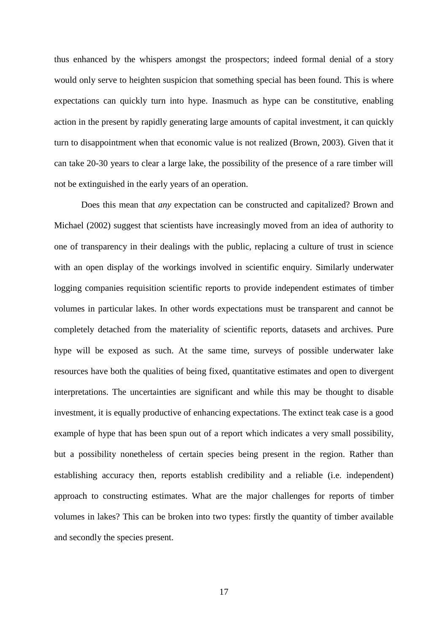thus enhanced by the whispers amongst the prospectors; indeed formal denial of a story would only serve to heighten suspicion that something special has been found. This is where expectations can quickly turn into hype. Inasmuch as hype can be constitutive, enabling action in the present by rapidly generating large amounts of capital investment, it can quickly turn to disappointment when that economic value is not realized (Brown, 2003). Given that it can take 20-30 years to clear a large lake, the possibility of the presence of a rare timber will not be extinguished in the early years of an operation.

Does this mean that *any* expectation can be constructed and capitalized? Brown and Michael (2002) suggest that scientists have increasingly moved from an idea of authority to one of transparency in their dealings with the public, replacing a culture of trust in science with an open display of the workings involved in scientific enquiry. Similarly underwater logging companies requisition scientific reports to provide independent estimates of timber volumes in particular lakes. In other words expectations must be transparent and cannot be completely detached from the materiality of scientific reports, datasets and archives. Pure hype will be exposed as such. At the same time, surveys of possible underwater lake resources have both the qualities of being fixed, quantitative estimates and open to divergent interpretations. The uncertainties are significant and while this may be thought to disable investment, it is equally productive of enhancing expectations. The extinct teak case is a good example of hype that has been spun out of a report which indicates a very small possibility, but a possibility nonetheless of certain species being present in the region. Rather than establishing accuracy then, reports establish credibility and a reliable (i.e. independent) approach to constructing estimates. What are the major challenges for reports of timber volumes in lakes? This can be broken into two types: firstly the quantity of timber available and secondly the species present.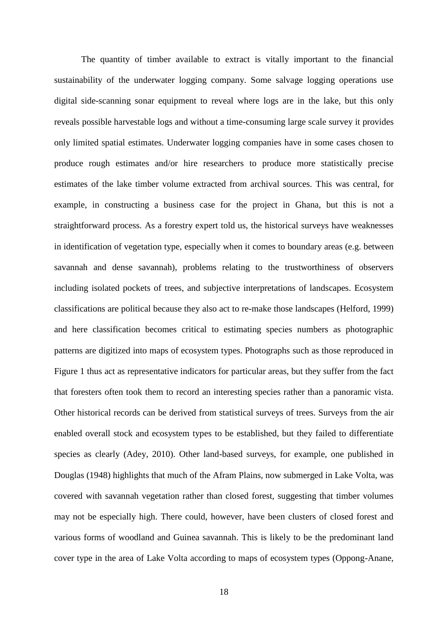The quantity of timber available to extract is vitally important to the financial sustainability of the underwater logging company. Some salvage logging operations use digital side-scanning sonar equipment to reveal where logs are in the lake, but this only reveals possible harvestable logs and without a time-consuming large scale survey it provides only limited spatial estimates. Underwater logging companies have in some cases chosen to produce rough estimates and/or hire researchers to produce more statistically precise estimates of the lake timber volume extracted from archival sources. This was central, for example, in constructing a business case for the project in Ghana, but this is not a straightforward process. As a forestry expert told us, the historical surveys have weaknesses in identification of vegetation type, especially when it comes to boundary areas (e.g. between savannah and dense savannah), problems relating to the trustworthiness of observers including isolated pockets of trees, and subjective interpretations of landscapes. Ecosystem classifications are political because they also act to re-make those landscapes (Helford, 1999) and here classification becomes critical to estimating species numbers as photographic patterns are digitized into maps of ecosystem types. Photographs such as those reproduced in Figure 1 thus act as representative indicators for particular areas, but they suffer from the fact that foresters often took them to record an interesting species rather than a panoramic vista. Other historical records can be derived from statistical surveys of trees. Surveys from the air enabled overall stock and ecosystem types to be established, but they failed to differentiate species as clearly (Adey, 2010). Other land-based surveys, for example, one published in Douglas (1948) highlights that much of the Afram Plains, now submerged in Lake Volta, was covered with savannah vegetation rather than closed forest, suggesting that timber volumes may not be especially high. There could, however, have been clusters of closed forest and various forms of woodland and Guinea savannah. This is likely to be the predominant land cover type in the area of Lake Volta according to maps of ecosystem types (Oppong-Anane,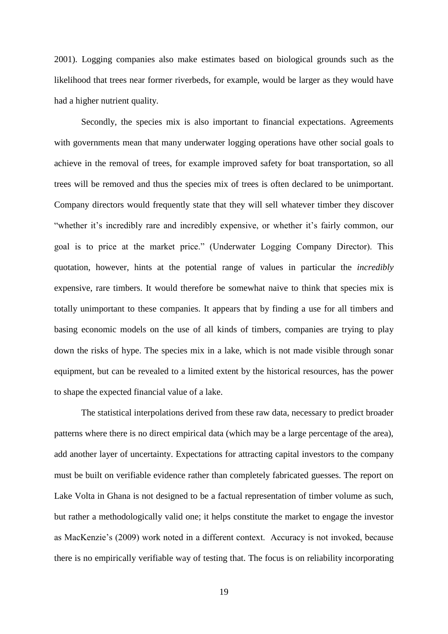2001). Logging companies also make estimates based on biological grounds such as the likelihood that trees near former riverbeds, for example, would be larger as they would have had a higher nutrient quality.

Secondly, the species mix is also important to financial expectations. Agreements with governments mean that many underwater logging operations have other social goals to achieve in the removal of trees, for example improved safety for boat transportation, so all trees will be removed and thus the species mix of trees is often declared to be unimportant. Company directors would frequently state that they will sell whatever timber they discover "whether it's incredibly rare and incredibly expensive, or whether it's fairly common, our goal is to price at the market price." (Underwater Logging Company Director). This quotation, however, hints at the potential range of values in particular the *incredibly* expensive, rare timbers. It would therefore be somewhat naive to think that species mix is totally unimportant to these companies. It appears that by finding a use for all timbers and basing economic models on the use of all kinds of timbers, companies are trying to play down the risks of hype. The species mix in a lake, which is not made visible through sonar equipment, but can be revealed to a limited extent by the historical resources, has the power to shape the expected financial value of a lake.

The statistical interpolations derived from these raw data, necessary to predict broader patterns where there is no direct empirical data (which may be a large percentage of the area), add another layer of uncertainty. Expectations for attracting capital investors to the company must be built on verifiable evidence rather than completely fabricated guesses. The report on Lake Volta in Ghana is not designed to be a factual representation of timber volume as such, but rather a methodologically valid one; it helps constitute the market to engage the investor as MacKenzie's (2009) work noted in a different context. Accuracy is not invoked, because there is no empirically verifiable way of testing that. The focus is on reliability incorporating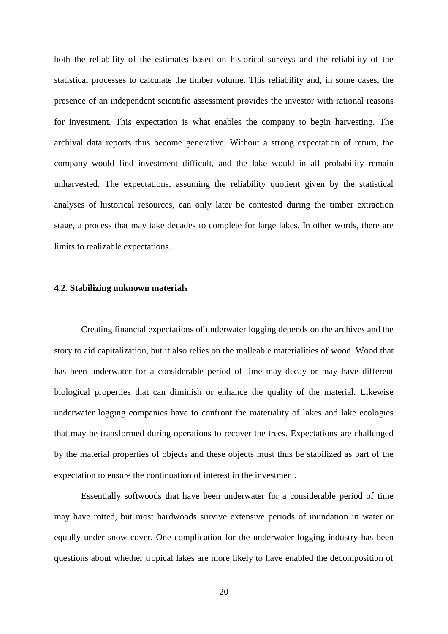both the reliability of the estimates based on historical surveys and the reliability of the statistical processes to calculate the timber volume. This reliability and, in some cases, the presence of an independent scientific assessment provides the investor with rational reasons for investment. This expectation is what enables the company to begin harvesting. The archival data reports thus become generative. Without a strong expectation of return, the company would find investment difficult, and the lake would in all probability remain unharvested. The expectations, assuming the reliability quotient given by the statistical analyses of historical resources, can only later be contested during the timber extraction stage, a process that may take decades to complete for large lakes. In other words, there are limits to realizable expectations.

### **4.2. Stabilizing unknown materials**

Creating financial expectations of underwater logging depends on the archives and the story to aid capitalization, but it also relies on the malleable materialities of wood. Wood that has been underwater for a considerable period of time may decay or may have different biological properties that can diminish or enhance the quality of the material. Likewise underwater logging companies have to confront the materiality of lakes and lake ecologies that may be transformed during operations to recover the trees. Expectations are challenged by the material properties of objects and these objects must thus be stabilized as part of the expectation to ensure the continuation of interest in the investment.

Essentially softwoods that have been underwater for a considerable period of time may have rotted, but most hardwoods survive extensive periods of inundation in water or equally under snow cover. One complication for the underwater logging industry has been questions about whether tropical lakes are more likely to have enabled the decomposition of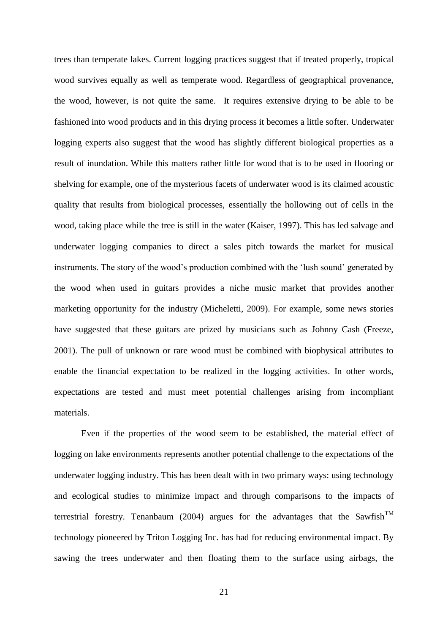trees than temperate lakes. Current logging practices suggest that if treated properly, tropical wood survives equally as well as temperate wood. Regardless of geographical provenance, the wood, however, is not quite the same. It requires extensive drying to be able to be fashioned into wood products and in this drying process it becomes a little softer. Underwater logging experts also suggest that the wood has slightly different biological properties as a result of inundation. While this matters rather little for wood that is to be used in flooring or shelving for example, one of the mysterious facets of underwater wood is its claimed acoustic quality that results from biological processes, essentially the hollowing out of cells in the wood, taking place while the tree is still in the water (Kaiser, 1997). This has led salvage and underwater logging companies to direct a sales pitch towards the market for musical instruments. The story of the wood's production combined with the 'lush sound' generated by the wood when used in guitars provides a niche music market that provides another marketing opportunity for the industry (Micheletti, 2009). For example, some news stories have suggested that these guitars are prized by musicians such as Johnny Cash (Freeze, 2001). The pull of unknown or rare wood must be combined with biophysical attributes to enable the financial expectation to be realized in the logging activities. In other words, expectations are tested and must meet potential challenges arising from incompliant materials.

Even if the properties of the wood seem to be established, the material effect of logging on lake environments represents another potential challenge to the expectations of the underwater logging industry. This has been dealt with in two primary ways: using technology and ecological studies to minimize impact and through comparisons to the impacts of terrestrial forestry. Tenanbaum (2004) argues for the advantages that the Sawfish<sup>TM</sup> technology pioneered by Triton Logging Inc. has had for reducing environmental impact. By sawing the trees underwater and then floating them to the surface using airbags, the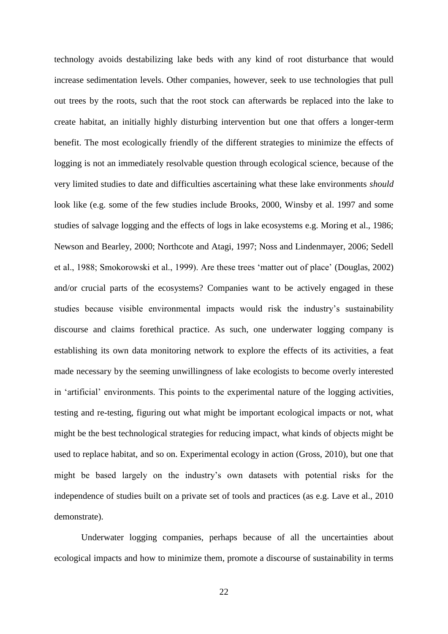technology avoids destabilizing lake beds with any kind of root disturbance that would increase sedimentation levels. Other companies, however, seek to use technologies that pull out trees by the roots, such that the root stock can afterwards be replaced into the lake to create habitat, an initially highly disturbing intervention but one that offers a longer-term benefit. The most ecologically friendly of the different strategies to minimize the effects of logging is not an immediately resolvable question through ecological science, because of the very limited studies to date and difficulties ascertaining what these lake environments *should*  look like (e.g. some of the few studies include Brooks, 2000, Winsby et al. 1997 and some studies of salvage logging and the effects of logs in lake ecosystems e.g. Moring et al., 1986; Newson and Bearley, 2000; Northcote and Atagi, 1997; Noss and Lindenmayer, 2006; Sedell et al., 1988; Smokorowski et al., 1999). Are these trees 'matter out of place' (Douglas, 2002) and/or crucial parts of the ecosystems? Companies want to be actively engaged in these studies because visible environmental impacts would risk the industry's sustainability discourse and claims forethical practice. As such, one underwater logging company is establishing its own data monitoring network to explore the effects of its activities, a feat made necessary by the seeming unwillingness of lake ecologists to become overly interested in 'artificial' environments. This points to the experimental nature of the logging activities, testing and re-testing, figuring out what might be important ecological impacts or not, what might be the best technological strategies for reducing impact, what kinds of objects might be used to replace habitat, and so on. Experimental ecology in action (Gross, 2010), but one that might be based largely on the industry's own datasets with potential risks for the independence of studies built on a private set of tools and practices (as e.g. Lave et al., 2010 demonstrate).

Underwater logging companies, perhaps because of all the uncertainties about ecological impacts and how to minimize them, promote a discourse of sustainability in terms

22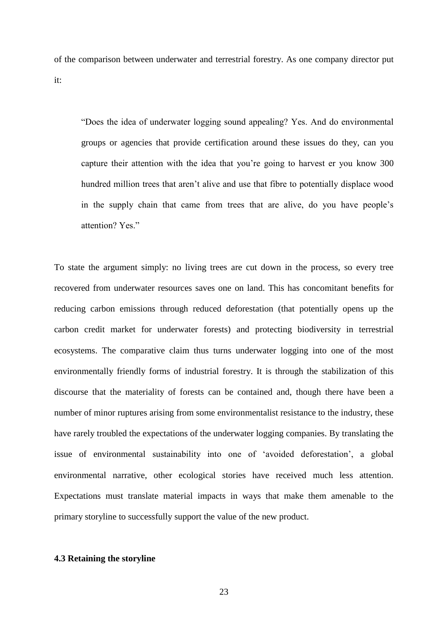of the comparison between underwater and terrestrial forestry. As one company director put it:

"Does the idea of underwater logging sound appealing? Yes. And do environmental groups or agencies that provide certification around these issues do they, can you capture their attention with the idea that you're going to harvest er you know 300 hundred million trees that aren't alive and use that fibre to potentially displace wood in the supply chain that came from trees that are alive, do you have people's attention? Yes."

To state the argument simply: no living trees are cut down in the process, so every tree recovered from underwater resources saves one on land. This has concomitant benefits for reducing carbon emissions through reduced deforestation (that potentially opens up the carbon credit market for underwater forests) and protecting biodiversity in terrestrial ecosystems. The comparative claim thus turns underwater logging into one of the most environmentally friendly forms of industrial forestry. It is through the stabilization of this discourse that the materiality of forests can be contained and, though there have been a number of minor ruptures arising from some environmentalist resistance to the industry, these have rarely troubled the expectations of the underwater logging companies. By translating the issue of environmental sustainability into one of 'avoided deforestation', a global environmental narrative, other ecological stories have received much less attention. Expectations must translate material impacts in ways that make them amenable to the primary storyline to successfully support the value of the new product.

## **4.3 Retaining the storyline**

23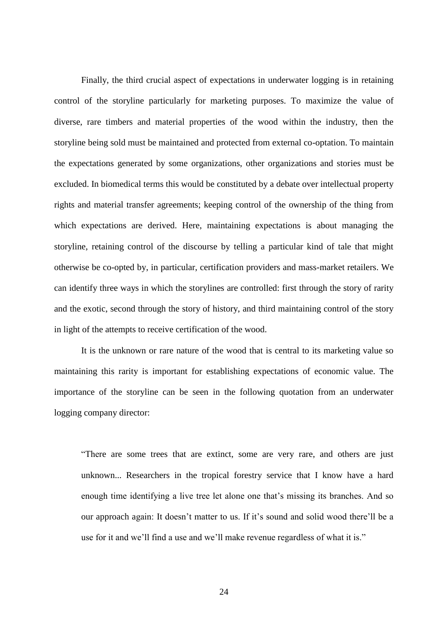Finally, the third crucial aspect of expectations in underwater logging is in retaining control of the storyline particularly for marketing purposes. To maximize the value of diverse, rare timbers and material properties of the wood within the industry, then the storyline being sold must be maintained and protected from external co-optation. To maintain the expectations generated by some organizations, other organizations and stories must be excluded. In biomedical terms this would be constituted by a debate over intellectual property rights and material transfer agreements; keeping control of the ownership of the thing from which expectations are derived. Here, maintaining expectations is about managing the storyline, retaining control of the discourse by telling a particular kind of tale that might otherwise be co-opted by, in particular, certification providers and mass-market retailers. We can identify three ways in which the storylines are controlled: first through the story of rarity and the exotic, second through the story of history, and third maintaining control of the story in light of the attempts to receive certification of the wood.

It is the unknown or rare nature of the wood that is central to its marketing value so maintaining this rarity is important for establishing expectations of economic value. The importance of the storyline can be seen in the following quotation from an underwater logging company director:

"There are some trees that are extinct, some are very rare, and others are just unknown... Researchers in the tropical forestry service that I know have a hard enough time identifying a live tree let alone one that's missing its branches. And so our approach again: It doesn't matter to us. If it's sound and solid wood there'll be a use for it and we'll find a use and we'll make revenue regardless of what it is."

24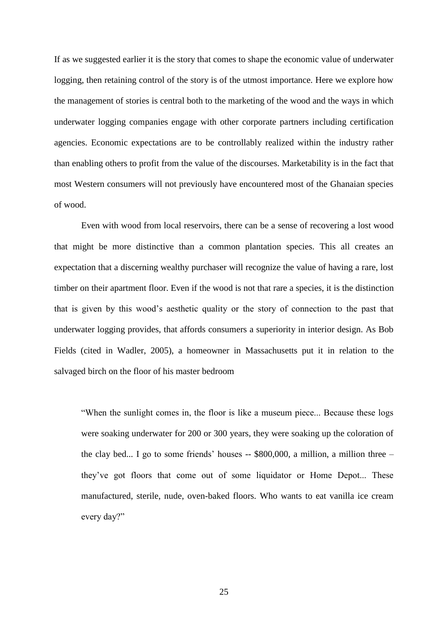If as we suggested earlier it is the story that comes to shape the economic value of underwater logging, then retaining control of the story is of the utmost importance. Here we explore how the management of stories is central both to the marketing of the wood and the ways in which underwater logging companies engage with other corporate partners including certification agencies. Economic expectations are to be controllably realized within the industry rather than enabling others to profit from the value of the discourses. Marketability is in the fact that most Western consumers will not previously have encountered most of the Ghanaian species of wood.

Even with wood from local reservoirs, there can be a sense of recovering a lost wood that might be more distinctive than a common plantation species. This all creates an expectation that a discerning wealthy purchaser will recognize the value of having a rare, lost timber on their apartment floor. Even if the wood is not that rare a species, it is the distinction that is given by this wood's aesthetic quality or the story of connection to the past that underwater logging provides, that affords consumers a superiority in interior design. As Bob Fields (cited in Wadler, 2005), a homeowner in Massachusetts put it in relation to the salvaged birch on the floor of his master bedroom

"When the sunlight comes in, the floor is like a museum piece... Because these logs were soaking underwater for 200 or 300 years, they were soaking up the coloration of the clay bed... I go to some friends' houses -- \$800,000, a million, a million three – they've got floors that come out of some liquidator or Home Depot... These manufactured, sterile, nude, oven-baked floors. Who wants to eat vanilla ice cream every day?"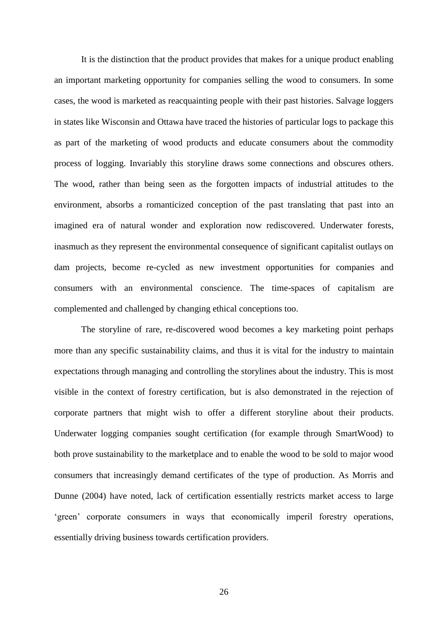It is the distinction that the product provides that makes for a unique product enabling an important marketing opportunity for companies selling the wood to consumers. In some cases, the wood is marketed as reacquainting people with their past histories. Salvage loggers in states like Wisconsin and Ottawa have traced the histories of particular logs to package this as part of the marketing of wood products and educate consumers about the commodity process of logging. Invariably this storyline draws some connections and obscures others. The wood, rather than being seen as the forgotten impacts of industrial attitudes to the environment, absorbs a romanticized conception of the past translating that past into an imagined era of natural wonder and exploration now rediscovered. Underwater forests, inasmuch as they represent the environmental consequence of significant capitalist outlays on dam projects, become re-cycled as new investment opportunities for companies and consumers with an environmental conscience. The time-spaces of capitalism are complemented and challenged by changing ethical conceptions too.

The storyline of rare, re-discovered wood becomes a key marketing point perhaps more than any specific sustainability claims, and thus it is vital for the industry to maintain expectations through managing and controlling the storylines about the industry. This is most visible in the context of forestry certification, but is also demonstrated in the rejection of corporate partners that might wish to offer a different storyline about their products. Underwater logging companies sought certification (for example through SmartWood) to both prove sustainability to the marketplace and to enable the wood to be sold to major wood consumers that increasingly demand certificates of the type of production. As Morris and Dunne (2004) have noted, lack of certification essentially restricts market access to large 'green' corporate consumers in ways that economically imperil forestry operations, essentially driving business towards certification providers.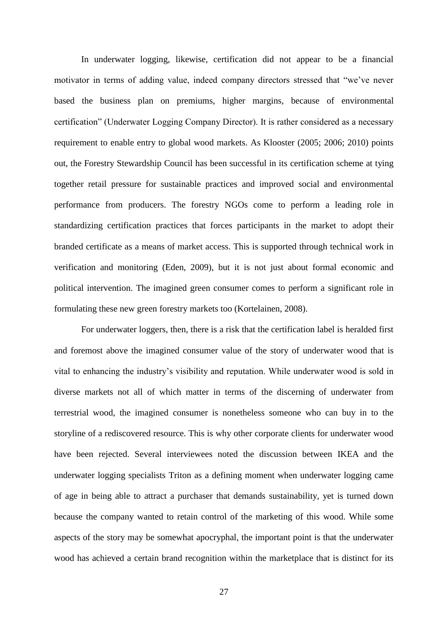In underwater logging, likewise, certification did not appear to be a financial motivator in terms of adding value, indeed company directors stressed that "we've never based the business plan on premiums, higher margins, because of environmental certification" (Underwater Logging Company Director). It is rather considered as a necessary requirement to enable entry to global wood markets. As Klooster (2005; 2006; 2010) points out, the Forestry Stewardship Council has been successful in its certification scheme at tying together retail pressure for sustainable practices and improved social and environmental performance from producers. The forestry NGOs come to perform a leading role in standardizing certification practices that forces participants in the market to adopt their branded certificate as a means of market access. This is supported through technical work in verification and monitoring (Eden, 2009), but it is not just about formal economic and political intervention. The imagined green consumer comes to perform a significant role in formulating these new green forestry markets too (Kortelainen, 2008).

For underwater loggers, then, there is a risk that the certification label is heralded first and foremost above the imagined consumer value of the story of underwater wood that is vital to enhancing the industry's visibility and reputation. While underwater wood is sold in diverse markets not all of which matter in terms of the discerning of underwater from terrestrial wood, the imagined consumer is nonetheless someone who can buy in to the storyline of a rediscovered resource. This is why other corporate clients for underwater wood have been rejected. Several interviewees noted the discussion between IKEA and the underwater logging specialists Triton as a defining moment when underwater logging came of age in being able to attract a purchaser that demands sustainability, yet is turned down because the company wanted to retain control of the marketing of this wood. While some aspects of the story may be somewhat apocryphal, the important point is that the underwater wood has achieved a certain brand recognition within the marketplace that is distinct for its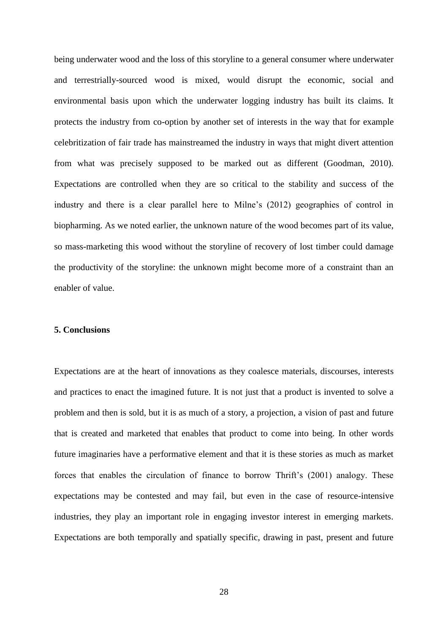being underwater wood and the loss of this storyline to a general consumer where underwater and terrestrially-sourced wood is mixed, would disrupt the economic, social and environmental basis upon which the underwater logging industry has built its claims. It protects the industry from co-option by another set of interests in the way that for example celebritization of fair trade has mainstreamed the industry in ways that might divert attention from what was precisely supposed to be marked out as different (Goodman, 2010). Expectations are controlled when they are so critical to the stability and success of the industry and there is a clear parallel here to Milne's (2012) geographies of control in biopharming. As we noted earlier, the unknown nature of the wood becomes part of its value, so mass-marketing this wood without the storyline of recovery of lost timber could damage the productivity of the storyline: the unknown might become more of a constraint than an enabler of value.

#### **5. Conclusions**

Expectations are at the heart of innovations as they coalesce materials, discourses, interests and practices to enact the imagined future. It is not just that a product is invented to solve a problem and then is sold, but it is as much of a story, a projection, a vision of past and future that is created and marketed that enables that product to come into being. In other words future imaginaries have a performative element and that it is these stories as much as market forces that enables the circulation of finance to borrow Thrift's (2001) analogy. These expectations may be contested and may fail, but even in the case of resource-intensive industries, they play an important role in engaging investor interest in emerging markets. Expectations are both temporally and spatially specific, drawing in past, present and future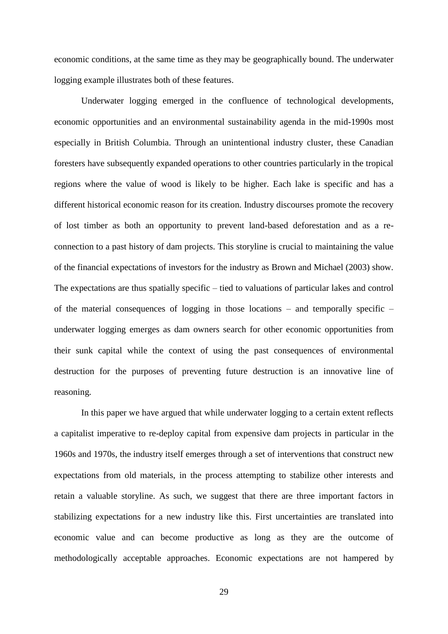economic conditions, at the same time as they may be geographically bound. The underwater logging example illustrates both of these features.

Underwater logging emerged in the confluence of technological developments, economic opportunities and an environmental sustainability agenda in the mid-1990s most especially in British Columbia. Through an unintentional industry cluster, these Canadian foresters have subsequently expanded operations to other countries particularly in the tropical regions where the value of wood is likely to be higher. Each lake is specific and has a different historical economic reason for its creation. Industry discourses promote the recovery of lost timber as both an opportunity to prevent land-based deforestation and as a reconnection to a past history of dam projects. This storyline is crucial to maintaining the value of the financial expectations of investors for the industry as Brown and Michael (2003) show. The expectations are thus spatially specific – tied to valuations of particular lakes and control of the material consequences of logging in those locations – and temporally specific – underwater logging emerges as dam owners search for other economic opportunities from their sunk capital while the context of using the past consequences of environmental destruction for the purposes of preventing future destruction is an innovative line of reasoning.

In this paper we have argued that while underwater logging to a certain extent reflects a capitalist imperative to re-deploy capital from expensive dam projects in particular in the 1960s and 1970s, the industry itself emerges through a set of interventions that construct new expectations from old materials, in the process attempting to stabilize other interests and retain a valuable storyline. As such, we suggest that there are three important factors in stabilizing expectations for a new industry like this. First uncertainties are translated into economic value and can become productive as long as they are the outcome of methodologically acceptable approaches. Economic expectations are not hampered by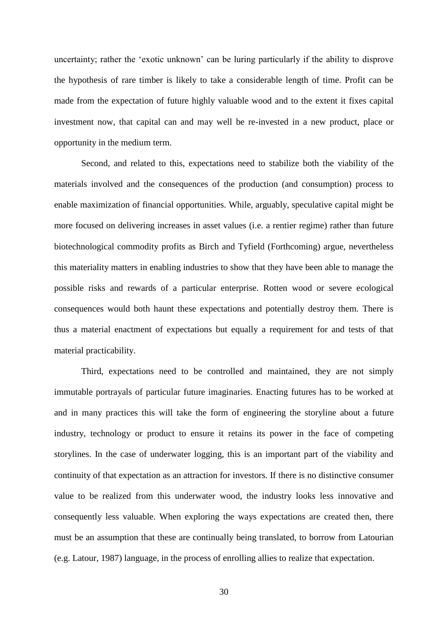uncertainty; rather the 'exotic unknown' can be luring particularly if the ability to disprove the hypothesis of rare timber is likely to take a considerable length of time. Profit can be made from the expectation of future highly valuable wood and to the extent it fixes capital investment now, that capital can and may well be re-invested in a new product, place or opportunity in the medium term.

Second, and related to this, expectations need to stabilize both the viability of the materials involved and the consequences of the production (and consumption) process to enable maximization of financial opportunities. While, arguably, speculative capital might be more focused on delivering increases in asset values (i.e. a rentier regime) rather than future biotechnological commodity profits as Birch and Tyfield (Forthcoming) argue, nevertheless this materiality matters in enabling industries to show that they have been able to manage the possible risks and rewards of a particular enterprise. Rotten wood or severe ecological consequences would both haunt these expectations and potentially destroy them. There is thus a material enactment of expectations but equally a requirement for and tests of that material practicability.

Third, expectations need to be controlled and maintained, they are not simply immutable portrayals of particular future imaginaries. Enacting futures has to be worked at and in many practices this will take the form of engineering the storyline about a future industry, technology or product to ensure it retains its power in the face of competing storylines. In the case of underwater logging, this is an important part of the viability and continuity of that expectation as an attraction for investors. If there is no distinctive consumer value to be realized from this underwater wood, the industry looks less innovative and consequently less valuable. When exploring the ways expectations are created then, there must be an assumption that these are continually being translated, to borrow from Latourian (e.g. Latour, 1987) language, in the process of enrolling allies to realize that expectation.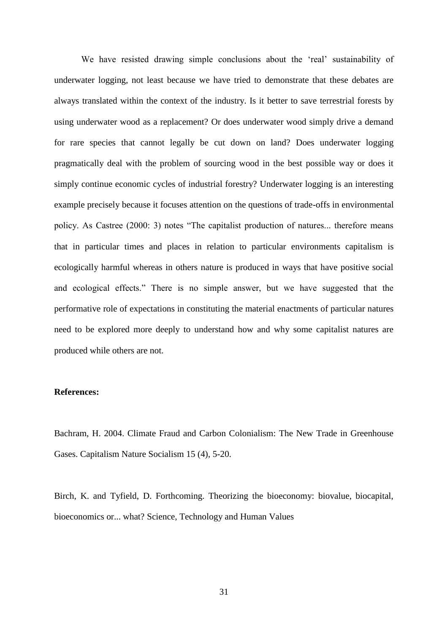We have resisted drawing simple conclusions about the 'real' sustainability of underwater logging, not least because we have tried to demonstrate that these debates are always translated within the context of the industry. Is it better to save terrestrial forests by using underwater wood as a replacement? Or does underwater wood simply drive a demand for rare species that cannot legally be cut down on land? Does underwater logging pragmatically deal with the problem of sourcing wood in the best possible way or does it simply continue economic cycles of industrial forestry? Underwater logging is an interesting example precisely because it focuses attention on the questions of trade-offs in environmental policy. As Castree (2000: 3) notes "The capitalist production of natures... therefore means that in particular times and places in relation to particular environments capitalism is ecologically harmful whereas in others nature is produced in ways that have positive social and ecological effects." There is no simple answer, but we have suggested that the performative role of expectations in constituting the material enactments of particular natures need to be explored more deeply to understand how and why some capitalist natures are produced while others are not.

## **References:**

Bachram, H. 2004. Climate Fraud and Carbon Colonialism: The New Trade in Greenhouse Gases. Capitalism Nature Socialism 15 (4), 5-20.

Birch, K. and Tyfield, D. Forthcoming. Theorizing the bioeconomy: biovalue, biocapital, bioeconomics or... what? Science, Technology and Human Values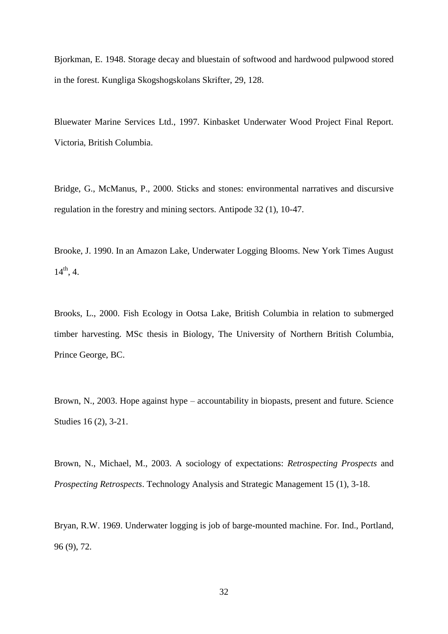Bjorkman, E. 1948. Storage decay and bluestain of softwood and hardwood pulpwood stored in the forest. Kungliga Skogshogskolans Skrifter, 29, 128.

Bluewater Marine Services Ltd., 1997. Kinbasket Underwater Wood Project Final Report. Victoria, British Columbia.

Bridge, G., McManus, P., 2000. Sticks and stones: environmental narratives and discursive regulation in the forestry and mining sectors. Antipode 32 (1), 10-47.

Brooke, J. 1990. In an Amazon Lake, Underwater Logging Blooms. New York Times August  $14^{th}$ , 4.

Brooks, L., 2000. Fish Ecology in Ootsa Lake, British Columbia in relation to submerged timber harvesting. MSc thesis in Biology, The University of Northern British Columbia, Prince George, BC.

Brown, N., 2003. Hope against hype – accountability in biopasts, present and future. Science Studies 16 (2), 3-21.

Brown, N., Michael, M., 2003. A sociology of expectations: *Retrospecting Prospects* and *Prospecting Retrospects*. Technology Analysis and Strategic Management 15 (1), 3-18.

Bryan, R.W. 1969. Underwater logging is job of barge-mounted machine. For. Ind., Portland, 96 (9), 72.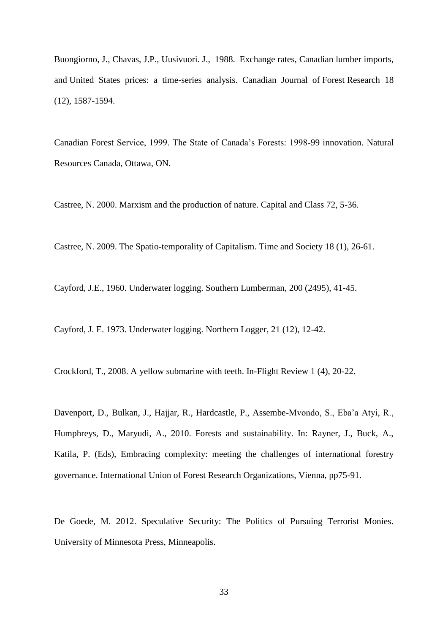Buongiorno, J., Chavas, J.P., Uusivuori. J., 1988. Exchange rates, Canadian lumber imports, and United States prices: a time-series analysis. Canadian Journal of Forest Research 18 (12), 1587-1594.

Canadian Forest Service, 1999. The State of Canada's Forests: 1998-99 innovation. Natural Resources Canada, Ottawa, ON.

Castree, N. 2000. Marxism and the production of nature. Capital and Class 72, 5-36.

Castree, N. 2009. The Spatio-temporality of Capitalism. Time and Society 18 (1), 26-61.

Cayford, J.E., 1960. Underwater logging. Southern Lumberman, 200 (2495), 41-45.

Cayford, J. E. 1973. Underwater logging. Northern Logger, 21 (12), 12-42.

Crockford, T., 2008. A yellow submarine with teeth. In-Flight Review 1 (4), 20-22.

Davenport, D., Bulkan, J., Hajjar, R., Hardcastle, P., Assembe-Mvondo, S., Eba'a Atyi, R., Humphreys, D., Maryudi, A., 2010. Forests and sustainability. In: Rayner, J., Buck, A., Katila, P. (Eds), Embracing complexity: meeting the challenges of international forestry governance. International Union of Forest Research Organizations, Vienna, pp75-91.

De Goede, M. 2012. Speculative Security: The Politics of Pursuing Terrorist Monies. University of Minnesota Press, Minneapolis.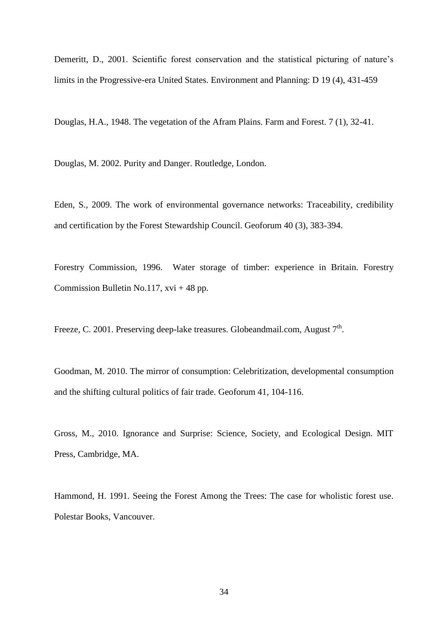Demeritt, D., 2001. Scientific forest conservation and the statistical picturing of nature's limits in the Progressive-era United States. Environment and Planning: D 19 (4), 431-459

Douglas, H.A., 1948. The vegetation of the Afram Plains. Farm and Forest. 7 (1), 32-41.

Douglas, M. 2002. Purity and Danger. Routledge, London.

Eden, S., 2009. The work of environmental governance networks: Traceability, credibility and certification by the Forest Stewardship Council. Geoforum 40 (3), 383-394.

Forestry Commission, 1996. Water storage of timber: experience in Britain. Forestry Commission Bulletin No.117,  $xvi + 48$  pp.

Freeze, C. 2001. Preserving deep-lake treasures. Globeandmail.com, August  $7<sup>th</sup>$ .

Goodman, M. 2010. The mirror of consumption: Celebritization, developmental consumption and the shifting cultural politics of fair trade. Geoforum 41, 104-116.

Gross, M., 2010. Ignorance and Surprise: Science, Society, and Ecological Design. MIT Press, Cambridge, MA.

Hammond, H. 1991. Seeing the Forest Among the Trees: The case for wholistic forest use. Polestar Books, Vancouver.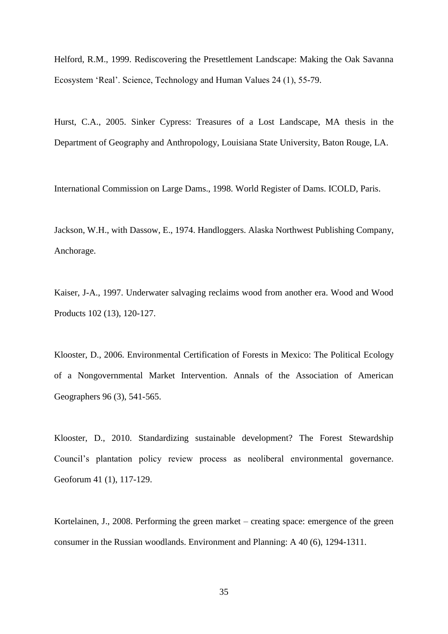Helford, R.M., 1999. Rediscovering the Presettlement Landscape: Making the Oak Savanna Ecosystem 'Real'. Science, Technology and Human Values 24 (1), 55-79.

Hurst, C.A., 2005. Sinker Cypress: Treasures of a Lost Landscape, MA thesis in the Department of Geography and Anthropology, Louisiana State University, Baton Rouge, LA.

International Commission on Large Dams., 1998. World Register of Dams. ICOLD, Paris.

Jackson, W.H., with Dassow, E., 1974. Handloggers. Alaska Northwest Publishing Company, Anchorage.

Kaiser, J-A., 1997. Underwater salvaging reclaims wood from another era. Wood and Wood Products 102 (13), 120-127.

Klooster, D., 2006. Environmental Certification of Forests in Mexico: The Political Ecology of a Nongovernmental Market Intervention. Annals of the Association of American Geographers 96 (3), 541-565.

Klooster, D., 2010. Standardizing sustainable development? The Forest Stewardship Council's plantation policy review process as neoliberal environmental governance. Geoforum 41 (1), 117-129.

Kortelainen, J., 2008. Performing the green market – creating space: emergence of the green consumer in the Russian woodlands. Environment and Planning: A 40 (6), 1294-1311.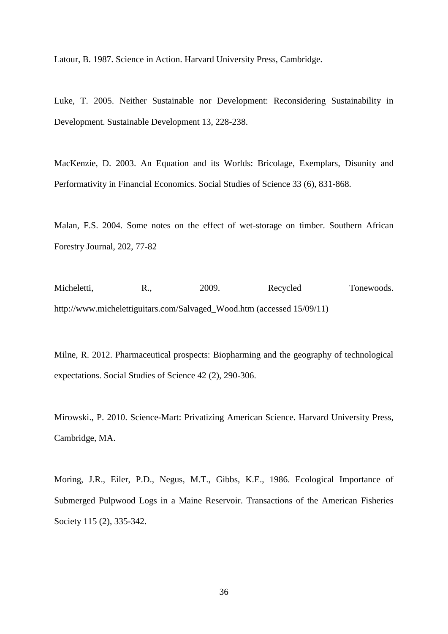Latour, B. 1987. Science in Action. Harvard University Press, Cambridge.

Luke, T. 2005. Neither Sustainable nor Development: Reconsidering Sustainability in Development. Sustainable Development 13, 228-238.

MacKenzie, D. 2003. An Equation and its Worlds: Bricolage, Exemplars, Disunity and Performativity in Financial Economics. Social Studies of Science 33 (6), 831-868.

Malan, F.S. 2004. Some notes on the effect of wet-storage on timber. Southern African Forestry Journal, 202, 77-82

Micheletti, R., 2009. Recycled Tonewoods. http://www.michelettiguitars.com/Salvaged\_Wood.htm (accessed 15/09/11)

Milne, R. 2012. Pharmaceutical prospects: Biopharming and the geography of technological expectations. Social Studies of Science 42 (2), 290-306.

Mirowski., P. 2010. Science-Mart: Privatizing American Science. Harvard University Press, Cambridge, MA.

Moring, J.R., Eiler, P.D., Negus, M.T., Gibbs, K.E., 1986. Ecological Importance of Submerged Pulpwood Logs in a Maine Reservoir. Transactions of the American Fisheries Society 115 (2), 335-342.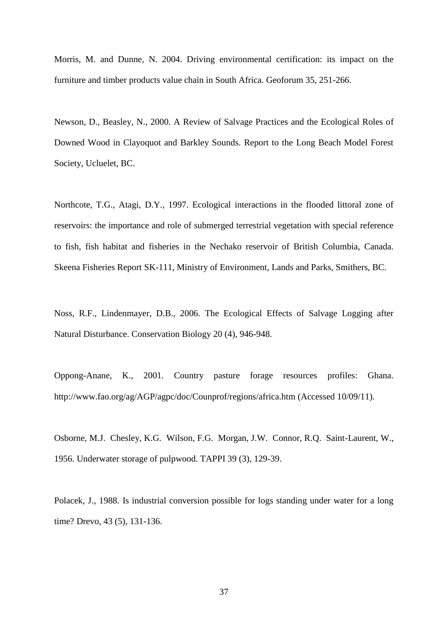Morris, M. and Dunne, N. 2004. Driving environmental certification: its impact on the furniture and timber products value chain in South Africa. Geoforum 35, 251-266.

Newson, D., Beasley, N., 2000. A Review of Salvage Practices and the Ecological Roles of Downed Wood in Clayoquot and Barkley Sounds. Report to the Long Beach Model Forest Society, Ucluelet, BC.

Northcote, T.G., Atagi, D.Y., 1997. Ecological interactions in the flooded littoral zone of reservoirs: the importance and role of submerged terrestrial vegetation with special reference to fish, fish habitat and fisheries in the Nechako reservoir of British Columbia, Canada. Skeena Fisheries Report SK-111, Ministry of Environment, Lands and Parks, Smithers, BC.

Noss, R.F., Lindenmayer, D.B., 2006. The Ecological Effects of Salvage Logging after Natural Disturbance. Conservation Biology 20 (4), 946-948.

Oppong-Anane, K., 2001. Country pasture forage resources profiles: Ghana. http://www.fao.org/ag/AGP/agpc/doc/Counprof/regions/africa.htm (Accessed 10/09/11).

Osborne, M.J. Chesley, K.G. Wilson, F.G. Morgan, J.W. Connor, R.Q. Saint-Laurent, W., 1956. Underwater storage of pulpwood. TAPPI 39 (3), 129-39.

Polacek, J., 1988. Is industrial conversion possible for logs standing under water for a long time? Drevo, 43 (5), 131-136.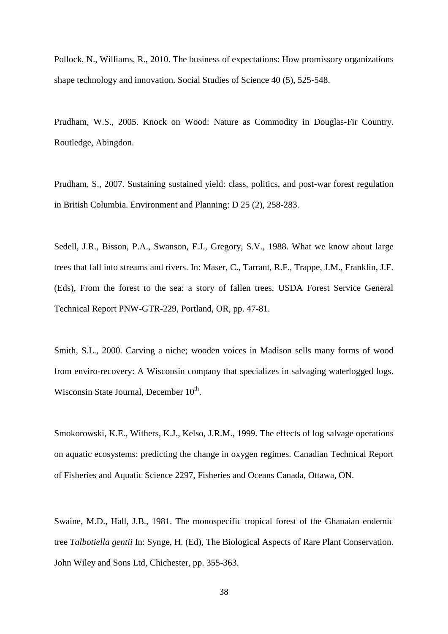Pollock, N., Williams, R., 2010. The business of expectations: How promissory organizations shape technology and innovation. Social Studies of Science 40 (5), 525-548.

Prudham, W.S., 2005. Knock on Wood: Nature as Commodity in Douglas-Fir Country. Routledge, Abingdon.

Prudham, S., 2007. Sustaining sustained yield: class, politics, and post-war forest regulation in British Columbia. Environment and Planning: D 25 (2), 258-283.

Sedell, J.R., Bisson, P.A., Swanson, F.J., Gregory, S.V., 1988. What we know about large trees that fall into streams and rivers. In: Maser, C., Tarrant, R.F., Trappe, J.M., Franklin, J.F. (Eds), From the forest to the sea: a story of fallen trees. USDA Forest Service General Technical Report PNW-GTR-229, Portland, OR, pp. 47-81.

Smith, S.L., 2000. Carving a niche; wooden voices in Madison sells many forms of wood from enviro-recovery: A Wisconsin company that specializes in salvaging waterlogged logs. Wisconsin State Journal, December 10<sup>th</sup>.

Smokorowski, K.E., Withers, K.J., Kelso, J.R.M., 1999. The effects of log salvage operations on aquatic ecosystems: predicting the change in oxygen regimes. Canadian Technical Report of Fisheries and Aquatic Science 2297, Fisheries and Oceans Canada, Ottawa, ON.

Swaine, M.D., Hall, J.B., 1981. The monospecific tropical forest of the Ghanaian endemic tree *Talbotiella gentii* In: Synge, H. (Ed), The Biological Aspects of Rare Plant Conservation. John Wiley and Sons Ltd, Chichester, pp. 355-363.